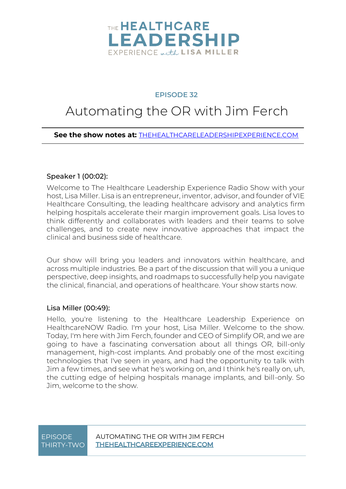

#### **EPISODE 32**

### Automating the OR with Jim Ferch

**See the show notes at:** [THEHEALTHCARELEADERSHIPEXPERIENCE.COM](https://www.thehealthcareleadershipexperience.com/automating-the-or-for-better-patient-care-ep32/)

#### Speaker 1 [\(00:02\)](https://www.rev.com/transcript-editor/Edit?token=0sEGYE0C7rQiuAIpaxcuoc_VZb1tcjgUtaaUTE_rr29AJ48bfTGKd-ISopTOc9lG1sj5-MS2GtdIeDIZjwFtJImg0s4&loadFrom=DocumentDeeplink&ts=2.25):

Welcome to The Healthcare Leadership Experience Radio Show with your host, Lisa Miller. Lisa is an entrepreneur, inventor, advisor, and founder of VIE Healthcare Consulting, the leading healthcare advisory and analytics firm helping hospitals accelerate their margin improvement goals. Lisa loves to think differently and collaborates with leaders and their teams to solve challenges, and to create new innovative approaches that impact the clinical and business side of healthcare.

Our show will bring you leaders and innovators within healthcare, and across multiple industries. Be a part of the discussion that will you a unique perspective, deep insights, and roadmaps to successfully help you navigate the clinical, financial, and operations of healthcare. Your show starts now.

#### Lisa Miller [\(00:49\)](https://www.rev.com/transcript-editor/Edit?token=fgs1Ufs6OULeJ65TAkME-wCHo0Nj4uwhpPXQbUCNglIiyH8-uREYMw3ckbleCQJ1KAK0IOr8rmZmFBvX5utTKDRE2zU&loadFrom=DocumentDeeplink&ts=49.48):

Hello, you're listening to the Healthcare Leadership Experience on HealthcareNOW Radio. I'm your host, Lisa Miller. Welcome to the show. Today, I'm here with Jim Ferch, founder and CEO of Simplify OR, and we are going to have a fascinating conversation about all things OR, bill-only management, high-cost implants. And probably one of the most exciting technologies that I've seen in years, and had the opportunity to talk with Jim a few times, and see what he's working on, and I think he's really on, uh, the cutting edge of helping hospitals manage implants, and bill-only. So Jim, welcome to the show.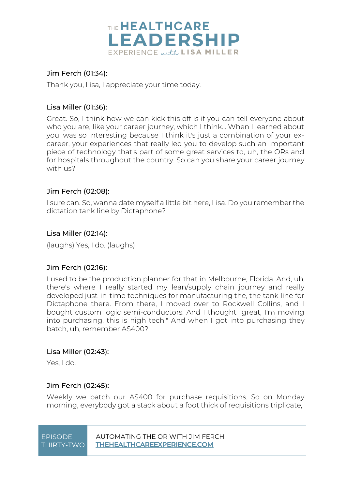

#### Jim Ferch [\(01:34\)](https://www.rev.com/transcript-editor/Edit?token=WdANI6oSipNWd5W_2dW5jjMw97j6AEvrz33dMvVA9JQkYWJ7RP6mc0ZPxdC3k0HhfZNcnwr_Rn12a2m8dmka6hqkCdI&loadFrom=DocumentDeeplink&ts=94.5):

Thank you, Lisa, I appreciate your time today.

#### Lisa Miller [\(01:36\)](https://www.rev.com/transcript-editor/Edit?token=CzpUZyaP7X7ADOedR5tLYFsSw3C7UAEZe9V37GkVa44Lv0ukWkp9iVJlvTi5BO8azC04TXAYFIBaStJaNBb7LljXxOM&loadFrom=DocumentDeeplink&ts=96.49):

Great. So, I think how we can kick this off is if you can tell everyone about who you are, like your career journey, which I think... When I learned about you, was so interesting because I think it's just a combination of your excareer, your experiences that really led you to develop such an important piece of technology that's part of some great services to, uh, the ORs and for hospitals throughout the country. So can you share your career journey with us?

#### Jim Ferch [\(02:08\)](https://www.rev.com/transcript-editor/Edit?token=fYtKmMGo39rFJIEYbb-nIUeRlqDdldRK-1aaMdnTqendw-nUDGzOLqPrk4MCNrKvdQ7fXQiA4264dmCE6V_yEA74G14&loadFrom=DocumentDeeplink&ts=128):

I sure can. So, wanna date myself a little bit here, Lisa. Do you remember the dictation tank line by Dictaphone?

#### Lisa Miller [\(02:14\)](https://www.rev.com/transcript-editor/Edit?token=j_YSwkJ0z2_MyzVpUW5pR1jOYwwI5DvayXToiZcAcRsMhEPu4b2RzqKGUDxUSOntEhZrjnY6bIdyrDJom6qSLC7ElVc&loadFrom=DocumentDeeplink&ts=134.43):

(laughs) Yes, I do. (laughs)

#### Jim Ferch [\(02:16\)](https://www.rev.com/transcript-editor/Edit?token=vPPs_wte9yk8R4GKZ0DhNmKRUcQQRjPkjeN6UiWt_rwRH36-9_CoeKoyIsX6DlogpD8xS3e8UJiyFiy0LnhC7lBtcoY&loadFrom=DocumentDeeplink&ts=136.9):

I used to be the production planner for that in Melbourne, Florida. And, uh, there's where I really started my lean/supply chain journey and really developed just-in-time techniques for manufacturing the, the tank line for Dictaphone there. From there, I moved over to Rockwell Collins, and I bought custom logic semi-conductors. And I thought "great, I'm moving into purchasing, this is high tech." And when I got into purchasing they batch, uh, remember AS400?

#### Lisa Miller [\(02:43\)](https://www.rev.com/transcript-editor/Edit?token=cWFZ4gPj14YrZfTlfZysybQHcVSVCAmPkjqRDcZyRqlhsp5iBtkejkbJ8e1RDAObD3Tn20CNDNE7WDN7dz24ZKxbZ-4&loadFrom=DocumentDeeplink&ts=163.96):

Yes, I do.

#### Jim Ferch [\(02:45\)](https://www.rev.com/transcript-editor/Edit?token=q1zNn1gD-uLfbBnLYI6j3rFCzQ7wz_As9G3wjGaXiFeEHAlu3_-l1x8At2UA1-VJUkvrViuV6ru4qvfBoFntOwrGymQ&loadFrom=DocumentDeeplink&ts=165.3):

Weekly we batch our AS400 for purchase requisitions. So on Monday morning, everybody got a stack about a foot thick of requisitions triplicate,

| <b>FPISODE</b> | AUTOMATING THE OR WITH JIM FFRCH   |
|----------------|------------------------------------|
| THIRTY-TWO I   | <b>THEHEALTHCAREEXPERIENCE.COM</b> |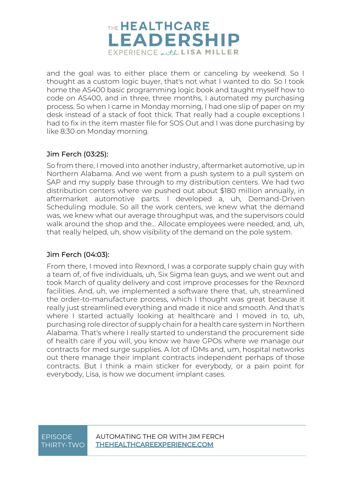

and the goal was to either place them or canceling by weekend. So I thought as a custom logic buyer, that's not what I wanted to do. So I took home the AS400 basic programming logic book and taught myself how to code on AS400, and in three, three months, I automated my purchasing process. So when I came in Monday morning, I had one slip of paper on my desk instead of a stack of foot thick. That really had a couple exceptions I had to fix in the item master file for SOS Out and I was done purchasing by like 8:30 on Monday morning.

#### Jim Ferch [\(03:25\)](https://www.rev.com/transcript-editor/Edit?token=pahpSHrwmzL_3JgjuqucLMnE8ftVqwpnTJR_5E2fFLgIPbH-RlMrIUzeywarAYLqoKpKwc_SZzBSkmRxxQXPlVc04Lg&loadFrom=DocumentDeeplink&ts=205.51):

So from there, I moved into another industry, aftermarket automotive, up in Northern Alabama. And we went from a push system to a pull system on SAP and my supply base through to my distribution centers. We had two distribution centers where we pushed out about \$180 million annually, in aftermarket automotive parts. I developed a, uh, Demand-Driven Scheduling module. So all the work centers, we knew what the demand was, we knew what our average throughput was, and the supervisors could walk around the shop and the... Allocate employees were needed, and, uh, that really helped, uh, show visibility of the demand on the pole system.

#### Jim Ferch [\(04:03\)](https://www.rev.com/transcript-editor/Edit?token=JQsc46BI0Y3-zvoBfbKISan30nxNZ-ozAJZTm1vSfTh9HgKSJgTG03ufDz0pfJLkwb2WQd5ma_P85ZDc5iS2FpcyL4w&loadFrom=DocumentDeeplink&ts=243.61):

From there, I moved into Rexnord, I was a corporate supply chain guy with a team of, of five individuals, uh, Six Sigma lean guys, and we went out and took March of quality delivery and cost improve processes for the Rexnord facilities. And, uh, we implemented a software there that, uh, streamlined the order-to-manufacture process, which I thought was great because it really just streamlined everything and made it nice and smooth. And that's where I started actually looking at healthcare and I moved in to, uh, purchasing role director of supply chain for a health care system in Northern Alabama. That's where I really started to understand the procurement side of health care if you will, you know we have GPOs where we manage our contracts for med surge supplies. A lot of IDMs and, um, hospital networks out there manage their implant contracts independent perhaps of those contracts. But I think a main sticker for everybody, or a pain point for everybody, Lisa, is how we document implant cases.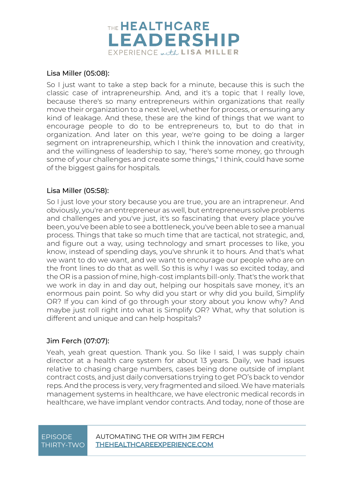

#### Lisa Miller [\(05:08\)](https://www.rev.com/transcript-editor/Edit?token=fPmp5EzmmGROGItvNmM-XGz4AoEDLtfNHhAH5_Veu_PM-thIYxIFvQ1rmnTRxBZHGK3LBKdWpJrKKVyYOKEcBI2DP2Q&loadFrom=DocumentDeeplink&ts=308.34):

So I just want to take a step back for a minute, because this is such the classic case of intrapreneurship. And, and it's a topic that I really love, because there's so many entrepreneurs within organizations that really move their organization to a next level, whether for process, or ensuring any kind of leakage. And these, these are the kind of things that we want to encourage people to do to be entrepreneurs to, but to do that in organization. And later on this year, we're going to be doing a larger segment on intrapreneurship, which I think the innovation and creativity, and the willingness of leadership to say, "here's some money, go through some of your challenges and create some things," I think, could have some of the biggest gains for hospitals.

#### Lisa Miller [\(05:58\)](https://www.rev.com/transcript-editor/Edit?token=p8brWE2E7uavf4MdyYDv94LWnc8OU9n6Q928oLbakDkZuyYDeuENouTYpMfg0xQXgjo7NGrzzEZrN0dg_s0_uZ5cmgI&loadFrom=DocumentDeeplink&ts=358.09):

So I just love your story because you are true, you are an intrapreneur. And obviously, you're an entrepreneur as well, but entrepreneurs solve problems and challenges and you've just, it's so fascinating that every place you've been, you've been able to see a bottleneck, you've been able to see a manual process. Things that take so much time that are tactical, not strategic, and, and figure out a way, using technology and smart processes to like, you know, instead of spending days, you've shrunk it to hours. And that's what we want to do we want, and we want to encourage our people who are on the front lines to do that as well. So this is why I was so excited today, and the OR is a passion of mine, high-cost implants bill-only. That's the work that we work in day in and day out, helping our hospitals save money, it's an enormous pain point. So why did you start or why did you build, Simplify OR? If you can kind of go through your story about you know why? And maybe just roll right into what is Simplify OR? What, why that solution is different and unique and can help hospitals?

#### Jim Ferch [\(07:07\)](https://www.rev.com/transcript-editor/Edit?token=nbkrU9ODMZd7Qpy4FS24wwOp1Yon3rW19-51A-s6DUQWKxCew1FpyjVUNhAATqWc2YDTzc3HPjjh3vdt29xg0yOKEQY&loadFrom=DocumentDeeplink&ts=427):

Yeah, yeah great question. Thank you. So like I said, I was supply chain director at a health care system for about 13 years. Daily, we had issues relative to chasing charge numbers, cases being done outside of implant contract costs, and just daily conversations trying to get PO's back to vendor reps. And the process is very, very fragmented and siloed. We have materials management systems in healthcare, we have electronic medical records in healthcare, we have implant vendor contracts. And today, none of those are

## THIRTY-TWO

EPISODE AUTOMATING THE OR WITH JIM FERCH **THEHEALTHCAREEXPERIENCE.COM**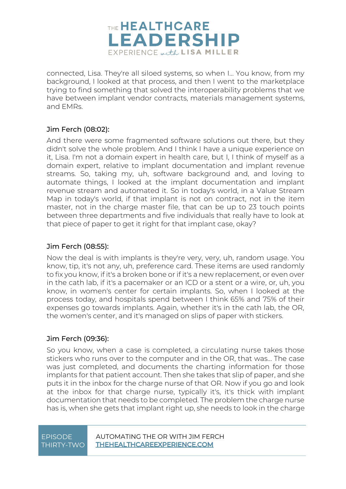

connected, Lisa. They're all siloed systems, so when I... You know, from my background, I looked at that process, and then I went to the marketplace trying to find something that solved the interoperability problems that we have between implant vendor contracts, materials management systems, and EMRs.

#### Jim Ferch [\(08:02\)](https://www.rev.com/transcript-editor/Edit?token=7oTceE27yIT0KQRLMi7YM2WRUDU-o0PYOTtLCHCCEN507ry5A1jDAkUI8g23zTM_xZRKxXQ2eQVW6UFr1Z9kDZPPFKU&loadFrom=DocumentDeeplink&ts=482.05):

And there were some fragmented software solutions out there, but they didn't solve the whole problem. And I think I have a unique experience on it, Lisa. I'm not a domain expert in health care, but I, I think of myself as a domain expert, relative to implant documentation and implant revenue streams. So, taking my, uh, software background and, and loving to automate things, I looked at the implant documentation and implant revenue stream and automated it. So in today's world, in a Value Stream Map in today's world, if that implant is not on contract, not in the item master, not in the charge master file, that can be up to 23 touch points between three departments and five individuals that really have to look at that piece of paper to get it right for that implant case, okay?

#### Jim Ferch [\(08:55\)](https://www.rev.com/transcript-editor/Edit?token=SIq4iTMo25CN8RPojyilsSU82fytj-p9dHxvM3Ntj_CpLEm5FqGOk3i9AfjzxiVpPgNhQIYO5AffMq93WzFFDw-5aA8&loadFrom=DocumentDeeplink&ts=535.95):

Now the deal is with implants is they're very, very, uh, random usage. You know, tip, it's not any, uh, preference card. These items are used randomly to fix you know, if it's a broken bone or if it's a new replacement, or even over in the cath lab, if it's a pacemaker or an ICD or a stent or a wire, or, uh, you know, in women's center for certain implants. So, when I looked at the process today, and hospitals spend between I think 65% and 75% of their expenses go towards implants. Again, whether it's in the cath lab, the OR, the women's center, and it's managed on slips of paper with stickers.

#### Jim Ferch [\(09:36\)](https://www.rev.com/transcript-editor/Edit?token=LoLEXtbqV2Chw4Nm2Va3LiGSX0kT2PFnliEohwMf3Q01rejvID-hPh22lMas2r9-3gMO3rFomHyHOVnDJ_UO25sql2c&loadFrom=DocumentDeeplink&ts=576.33):

So you know, when a case is completed, a circulating nurse takes those stickers who runs over to the computer and in the OR, that was... The case was just completed, and documents the charting information for those implants for that patient account. Then she takes that slip of paper, and she puts it in the inbox for the charge nurse of that OR. Now if you go and look at the inbox for that charge nurse, typically it's, it's thick with implant documentation that needs to be completed. The problem the charge nurse has is, when she gets that implant right up, she needs to look in the charge

# THIRTY-TWO

EPISODE AUTOMATING THE OR WITH JIM FERCH **THEHEALTHCAREEXPERIENCE.COM**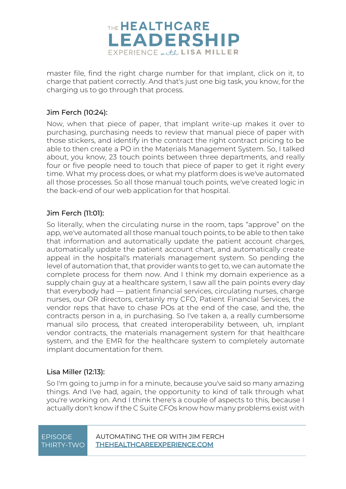

master file, find the right charge number for that implant, click on it, to charge that patient correctly. And that's just one big task, you know, for the charging us to go through that process.

#### Jim Ferch [\(10:24\)](https://www.rev.com/transcript-editor/Edit?token=di1wwh7GMYD-OLC57ZVwzVLncQ_liBfApmtkVleJeg1gMfyjAQVy6zw1bYPnmUIbd5X4sQ0SF5pPvw-u5eM9s2HSxrQ&loadFrom=DocumentDeeplink&ts=624.93):

Now, when that piece of paper, that implant write-up makes it over to purchasing, purchasing needs to review that manual piece of paper with those stickers, and identify in the contract the right contract pricing to be able to then create a PO in the Materials Management System. So, I talked about, you know, 23 touch points between three departments, and really four or five people need to touch that piece of paper to get it right every time. What my process does, or what my platform does is we've automated all those processes. So all those manual touch points, we've created logic in the back-end of our web application for that hospital.

#### Jim Ferch [\(11:01\)](https://www.rev.com/transcript-editor/Edit?token=fHSLAihQlyAsnizw04rk-cikGavvAcE5FEkh4QjglnEeOfXMMxxY3H9ylGTwykg3ntePpDx-GNA6HVpah2qVYqDHmdE&loadFrom=DocumentDeeplink&ts=661.74):

So literally, when the circulating nurse in the room, taps "approve" on the app, we've automated all those manual touch points, to be able to then take that information and automatically update the patient account charges, automatically update the patient account chart, and automatically create appeal in the hospital's materials management system. So pending the level of automation that, that provider wants to get to, we can automate the complete process for them now. And I think my domain experience as a supply chain guy at a healthcare system, I saw all the pain points every day that everybody had — patient financial services, circulating nurses, charge nurses, our OR directors, certainly my CFO, Patient Financial Services, the vendor reps that have to chase POs at the end of the case, and the, the contracts person in a, in purchasing. So I've taken a, a really cumbersome manual silo process, that created interoperability between, uh, implant vendor contracts, the materials management system for that healthcare system, and the EMR for the healthcare system to completely automate implant documentation for them.

#### Lisa Miller [\(12:13\)](https://www.rev.com/transcript-editor/Edit?token=kIV6XsBDUzq3N8U1hW8oBMNmLmYfi3U9ObtkQ3g0wlhJlPA2WSfqfGHCSbFQukWQvbGFVhlAXrPsXLFGZIJ7Jn4FzaQ&loadFrom=DocumentDeeplink&ts=733.86):

So I'm going to jump in for a minute, because you've said so many amazing things. And I've had, again, the opportunity to kind of talk through what you're working on. And I think there's a couple of aspects to this, because I actually don't know if the C Suite CFOs know how many problems exist with

| <b>EPISODE</b> | Δ |
|----------------|---|
| THIRTY-TWO     |   |

EPISODE AUTOMATING THE OR WITH JIM FERCH **HEHEALTHCAREEXPERIENCE.COM**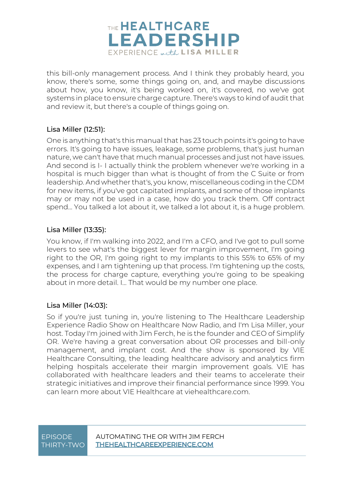

this bill-only management process. And I think they probably heard, you know, there's some, some things going on, and, and maybe discussions about how, you know, it's being worked on, it's covered, no we've got systems in place to ensure charge capture. There's ways to kind of audit that and review it, but there's a couple of things going on.

#### Lisa Miller [\(12:51\)](https://www.rev.com/transcript-editor/Edit?token=x771otmt7ARJHWeWoPseQGC1ebWZuMwdBYrTXU4wnSdxOEL4xy6uudIHFroRoe5CHtNsU_t7SINCJnzu1vl86qCngas&loadFrom=DocumentDeeplink&ts=771.87):

One is anything that's this manual that has 23 touch points it's going to have errors. It's going to have issues, leakage, some problems, that's just human nature, we can't have that much manual processes and just not have issues. And second is I- I actually think the problem whenever we're working in a hospital is much bigger than what is thought of from the C Suite or from leadership. And whether that's, you know, miscellaneous coding in the CDM for new items, if you've got capitated implants, and some of those implants may or may not be used in a case, how do you track them. Off contract spend… You talked a lot about it, we talked a lot about it, is a huge problem.

#### Lisa Miller [\(13:35\)](https://www.rev.com/transcript-editor/Edit?token=oeQSi7GfCa09GgkAOTVJasIP2pSuwbCnVq4htnGe4ayOq3XG9BxKsVjJV1LTCnNGdaeQAqlkULGEJ1iHvhQu1tX9vyA&loadFrom=DocumentDeeplink&ts=815.84):

You know, if I'm walking into 2022, and I'm a CFO, and I've got to pull some levers to see what's the biggest lever for margin improvement, I'm going right to the OR, I'm going right to my implants to this 55% to 65% of my expenses, and I am tightening up that process. I'm tightening up the costs, the process for charge capture, everything you're going to be speaking about in more detail. I... That would be my number one place.

#### Lisa Miller [\(14:03\)](https://www.rev.com/transcript-editor/Edit?token=epBI4ipLO60o8xk5LOoTNPB2aZxsATE2ne3UWEaPV98RyeXRJnG-4JxREvEoDj_z_nEj2ULHDD-wmmzmXHfymGInjjk&loadFrom=DocumentDeeplink&ts=843.59):

So if you're just tuning in, you're listening to The Healthcare Leadership Experience Radio Show on Healthcare Now Radio, and I'm Lisa Miller, your host. Today I'm joined with Jim Ferch, he is the founder and CEO of Simplify OR. We're having a great conversation about OR processes and bill-only management, and implant cost. And the show is sponsored by VIE Healthcare Consulting, the leading healthcare advisory and analytics firm helping hospitals accelerate their margin improvement goals. VIE has collaborated with healthcare leaders and their teams to accelerate their strategic initiatives and improve their financial performance since 1999. You can learn more about VIE Healthcare at viehealthcare.com.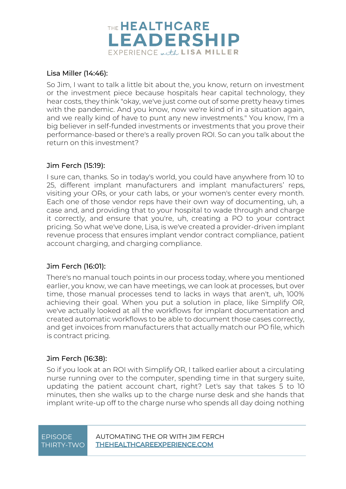

#### Lisa Miller [\(14:46\)](https://www.rev.com/transcript-editor/Edit?token=SptoFXFpkgKod8j_O4P7T_WFWFqCjYWvkD4L0UoIfBcsJDLWa56uLp1uJzwh695gCsKgj-o_xVBC-wgsZsNAAG3wisk&loadFrom=DocumentDeeplink&ts=886.28):

So Jim, I want to talk a little bit about the, you know, return on investment or the investment piece because hospitals hear capital technology, they hear costs, they think "okay, we've just come out of some pretty heavy times with the pandemic. And you know, now we're kind of in a situation again, and we really kind of have to punt any new investments." You know, I'm a big believer in self-funded investments or investments that you prove their performance-based or there's a really proven ROI. So can you talk about the return on this investment?

#### Jim Ferch [\(15:19\)](https://www.rev.com/transcript-editor/Edit?token=-TN3IRll7HEo4JITDlEs5X9OUNqMDLptMWJl5DAE6L4mDrvUyzNdr93FewGiaqrTcy-tUS-R6LlhK4o-4nyo66OV75w&loadFrom=DocumentDeeplink&ts=919.75):

I sure can, thanks. So in today's world, you could have anywhere from 10 to 25, different implant manufacturers and implant manufacturers' reps, visiting your ORs, or your cath labs, or your women's center every month. Each one of those vendor reps have their own way of documenting, uh, a case and, and providing that to your hospital to wade through and charge it correctly, and ensure that you're, uh, creating a PO to your contract pricing. So what we've done, Lisa, is we've created a provider-driven implant revenue process that ensures implant vendor contract compliance, patient account charging, and charging compliance.

#### Jim Ferch [\(16:01\)](https://www.rev.com/transcript-editor/Edit?token=bhujr4scH74nOX1t9DF_1BLJFdABmbmcgW_GVAMb4XAKAGQKSp-uysldMLvum9LTP_sXGC0iKsQF2YPpiTN9YR3xby0&loadFrom=DocumentDeeplink&ts=961.49):

There's no manual touch points in our process today, where you mentioned earlier, you know, we can have meetings, we can look at processes, but over time, those manual processes tend to lacks in ways that aren't, uh, 100% achieving their goal. When you put a solution in place, like Simplify OR, we've actually looked at all the workflows for implant documentation and created automatic workflows to be able to document those cases correctly, and get invoices from manufacturers that actually match our PO file, which is contract pricing.

#### Jim Ferch [\(16:38\)](https://www.rev.com/transcript-editor/Edit?token=YBHE0HVeGAB41yEnOOqfxNT7ZrAEPW0KD1_a3kst1fb72vHvoBiS8be8n1mdPL8Vs75rFSG_qGTA6UQx8DpOeMg8esg&loadFrom=DocumentDeeplink&ts=998.36):

So if you look at an ROI with Simplify OR, I talked earlier about a circulating nurse running over to the computer, spending time in that surgery suite, updating the patient account chart, right? Let's say that takes 5 to 10 minutes, then she walks up to the charge nurse desk and she hands that implant write-up off to the charge nurse who spends all day doing nothing

| <b>EPISODE</b> |  |
|----------------|--|
| THIRTY-TWO     |  |

AUTOMATING THE OR WITH JIM FFRCH **THEHEALTHCAREEXPERIENCE.COM**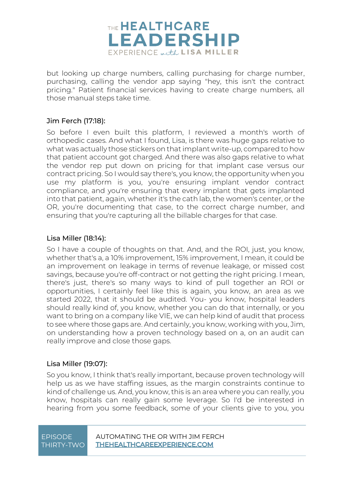

but looking up charge numbers, calling purchasing for charge number, purchasing, calling the vendor app saying "hey, this isn't the contract pricing." Patient financial services having to create charge numbers, all those manual steps take time.

#### Jim Ferch [\(17:18\)](https://www.rev.com/transcript-editor/Edit?token=rW7w0wZpy12lEaItPxXHRRQJSgOdU0iaExz0EZgWEH6DsZ0IEgYXRp_kALskQeF17d8nV6XwW1tyr4WZ_LCWZCNsyX0&loadFrom=DocumentDeeplink&ts=1038.9):

So before I even built this platform, I reviewed a month's worth of orthopedic cases. And what I found, Lisa, is there was huge gaps relative to what was actually those stickers on that implant write-up, compared to how that patient account got charged. And there was also gaps relative to what the vendor rep put down on pricing for that implant case versus our contract pricing. So I would say there's, you know, the opportunity when you use my platform is you, you're ensuring implant vendor contract compliance, and you're ensuring that every implant that gets implanted into that patient, again, whether it's the cath lab, the women's center, or the OR, you're documenting that case, to the correct charge number, and ensuring that you're capturing all the billable charges for that case.

#### Lisa Miller [\(18:14\)](https://www.rev.com/transcript-editor/Edit?token=MveYESF4jJD9fXbFaYOx-Dq_pTOUprRw4rgw8oeTIpr0jDXVkY_4BPqGhFQFyitIiCzFL21LFfvs1ERA0lVfAB8myiY&loadFrom=DocumentDeeplink&ts=1094.8):

So I have a couple of thoughts on that. And, and the ROI, just, you know, whether that's a, a 10% improvement, 15% improvement, I mean, it could be an improvement on leakage in terms of revenue leakage, or missed cost savings, because you're off-contract or not getting the right pricing. I mean, there's just, there's so many ways to kind of pull together an ROI or opportunities, I certainly feel like this is again, you know, an area as we started 2022, that it should be audited. You- you know, hospital leaders should really kind of, you know, whether you can do that internally, or you want to bring on a company like VIE, we can help kind of audit that process to see where those gaps are. And certainly, you know, working with you, Jim, on understanding how a proven technology based on a, on an audit can really improve and close those gaps.

#### Lisa Miller [\(19:07\)](https://www.rev.com/transcript-editor/Edit?token=Mk7sL4XqcUnkGXR0-IvJK5OIM85NIdP8gINcyPbrCUNvgieA4wkuEX9whXkIt-d42aS6dR0lAGkeKM75ENv6IHFW1Rk&loadFrom=DocumentDeeplink&ts=1147.08):

So you know, I think that's really important, because proven technology will help us as we have staffing issues, as the margin constraints continue to kind of challenge us. And, you know, this is an area where you can really, you know, hospitals can really gain some leverage. So I'd be interested in hearing from you some feedback, some of your clients give to you, you

| EPISODE    |  |
|------------|--|
| THIRTY-TWO |  |

AUTOMATING THE OR WITH JIM FERCH **THEHEALTHCAREEXPERIENCE.COM**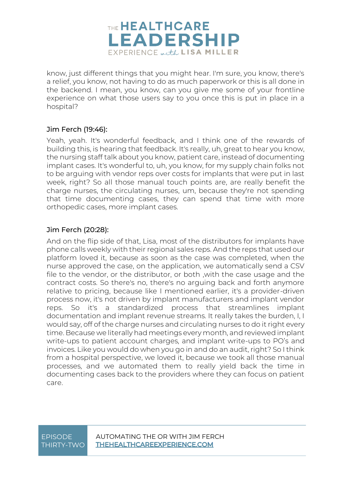

know, just different things that you might hear. I'm sure, you know, there's a relief, you know, not having to do as much paperwork or this is all done in the backend. I mean, you know, can you give me some of your frontline experience on what those users say to you once this is put in place in a hospital?

#### Jim Ferch [\(19:46\)](https://www.rev.com/transcript-editor/Edit?token=_bSTy47zq4AAgXOkQ97XUrm0_hatds9LpvoRYG4LLJ_BQ4txcFG3VMSyUPYncnNukoU4cFJKSJA6DriYw8SV0cJQE9g&loadFrom=DocumentDeeplink&ts=1186.33):

Yeah, yeah. It's wonderful feedback, and I think one of the rewards of building this, is hearing that feedback. It's really, uh, great to hear you know, the nursing staff talk about you know, patient care, instead of documenting implant cases. It's wonderful to, uh, you know, for my supply chain folks not to be arguing with vendor reps over costs for implants that were put in last week, right? So all those manual touch points are, are really benefit the charge nurses, the circulating nurses, um, because they're not spending that time documenting cases, they can spend that time with more orthopedic cases, more implant cases.

#### Jim Ferch [\(20:28\)](https://www.rev.com/transcript-editor/Edit?token=HdJU5xZmQGLuA3GKNwxU8GIgKVqdICNod4w-pnenFYu-NFCwLyt5YHWzDKvHtpOLT74HF_CUqf9SjnlwXj54fljOqnQ&loadFrom=DocumentDeeplink&ts=1228.29):

And on the flip side of that, Lisa, most of the distributors for implants have phone calls weekly with their regional sales reps. And the reps that used our platform loved it, because as soon as the case was completed, when the nurse approved the case, on the application, we automatically send a CSV file to the vendor, or the distributor, or both ,with the case usage and the contract costs. So there's no, there's no arguing back and forth anymore relative to pricing, because like I mentioned earlier, it's a provider-driven process now, it's not driven by implant manufacturers and implant vendor reps. So it's a standardized process that streamlines implant documentation and implant revenue streams. It really takes the burden, I, I would say, off of the charge nurses and circulating nurses to do it right every time. Because we literally had meetings every month, and reviewed implant write-ups to patient account charges, and implant write-ups to PO's and invoices. Like you would do when you go in and do an audit, right? So I think from a hospital perspective, we loved it, because we took all those manual processes, and we automated them to really yield back the time in documenting cases back to the providers where they can focus on patient care.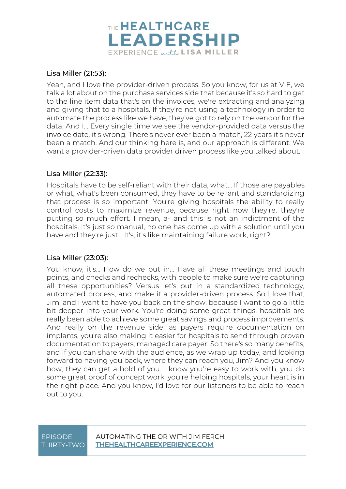

#### Lisa Miller [\(21:53\)](https://www.rev.com/transcript-editor/Edit?token=xEX5mAWin7RZzDsP2rUyilJ46XSwAoLeVgWHmbYn-jMGpRbMdboam_om5FciSSljsOzvvTVPKHUgQkfKn7SXlIoNYHA&loadFrom=DocumentDeeplink&ts=1313.93):

Yeah, and I love the provider-driven process. So you know, for us at VIE, we talk a lot about on the purchase services side that because it's so hard to get to the line item data that's on the invoices, we're extracting and analyzing and giving that to a hospitals. If they're not using a technology in order to automate the process like we have, they've got to rely on the vendor for the data. And I... Every single time we see the vendor-provided data versus the invoice date, it's wrong. There's never ever been a match, 22 years it's never been a match. And our thinking here is, and our approach is different. We want a provider-driven data provider driven process like you talked about.

#### Lisa Miller [\(22:33\)](https://www.rev.com/transcript-editor/Edit?token=IE5WFliFO907rA3TYrxOkr_m67pzYKVwheMwCHv0f1YjXDyVLVbW4icsm89DHn-0HjXKjh3xbiXehMP-Kn_q67NYsOw&loadFrom=DocumentDeeplink&ts=1353.81):

Hospitals have to be self-reliant with their data, what... If those are payables or what, what's been consumed, they have to be reliant and standardizing that process is so important. You're giving hospitals the ability to really control costs to maximize revenue, because right now they're, they're putting so much effort. I mean, a- and this is not an indictment of the hospitals. It's just so manual, no one has come up with a solution until you have and they're just... It's, it's like maintaining failure work, right?

#### Lisa Miller [\(23:03\)](https://www.rev.com/transcript-editor/Edit?token=mPXBxHfTHk9Anp5CLDal65yj8tT2fIiZYqWA_FzgksUTCnRWRxziwgQU4id65-ckqCxKsf4Q6ceC_dBqQ6AVUXsbqT8&loadFrom=DocumentDeeplink&ts=1383.59):

You know, it's... How do we put in... Have all these meetings and touch points, and checks and rechecks, with people to make sure we're capturing all these opportunities? Versus let's put in a standardized technology, automated process, and make it a provider-driven process. So I love that, Jim, and I want to have you back on the show, because I want to go a little bit deeper into your work. You're doing some great things, hospitals are really been able to achieve some great savings and process improvements. And really on the revenue side, as payers require documentation on implants, you're also making it easier for hospitals to send through proven documentation to payers, managed care payer. So there's so many benefits, and if you can share with the audience, as we wrap up today, and looking forward to having you back, where they can reach you, Jim? And you know how, they can get a hold of you. I know you're easy to work with, you do some great proof of concept work, you're helping hospitals, your heart is in the right place. And you know, I'd love for our listeners to be able to reach out to you.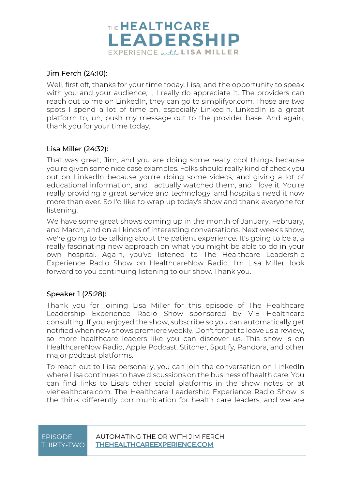

#### Jim Ferch [\(24:10\)](https://www.rev.com/transcript-editor/Edit?token=mqfwyyY6N2lqI6Y_JknUD1PHP1MWiPrMf2HtC3zy0zLmOZBW3crYabrQqVj6gCYf9nvLkF1vZQHy3SnQmFHxuxpWZgk&loadFrom=DocumentDeeplink&ts=1450.61):

Well, first off, thanks for your time today, Lisa, and the opportunity to speak with you and your audience, I, I really do appreciate it. The providers can reach out to me on LinkedIn, they can go to simplifyor.com. Those are two spots I spend a lot of time on, especially LinkedIn. LinkedIn is a great platform to, uh, push my message out to the provider base. And again, thank you for your time today.

#### Lisa Miller [\(24:32\)](https://www.rev.com/transcript-editor/Edit?token=yFCQEGCBIRvSS5QgCYdLfXOTifkBVXsltQIIyT5bWbp_GGFbvVr_UkG7UAxmLeuwognCh0FxmtsMY-hlYnGcf1oytdY&loadFrom=DocumentDeeplink&ts=1472.77):

That was great, Jim, and you are doing some really cool things because you're given some nice case examples. Folks should really kind of check you out on LinkedIn because you're doing some videos, and giving a lot of educational information, and I actually watched them, and I love it. You're really providing a great service and technology, and hospitals need it now more than ever. So I'd like to wrap up today's show and thank everyone for listening.

We have some great shows coming up in the month of January, February, and March, and on all kinds of interesting conversations. Next week's show, we're going to be talking about the patient experience. It's going to be a, a really fascinating new approach on what you might be able to do in your own hospital. Again, you've listened to The Healthcare Leadership Experience Radio Show on HealthcareNow Radio. I'm Lisa Miller, look forward to you continuing listening to our show. Thank you.

#### Speaker 1 [\(25:28\)](https://www.rev.com/transcript-editor/Edit?token=INboQOx1FwxjJ6YHrsw506tVmq4lELLZS01OfcKfNZ1WdzlJKkizNz7JKIdK_39HMljOp4mol0ONu7HSSw58W6tWClY&loadFrom=DocumentDeeplink&ts=1528.28):

Thank you for joining Lisa Miller for this episode of The Healthcare Leadership Experience Radio Show sponsored by VIE Healthcare consulting. If you enjoyed the show, subscribe so you can automatically get notified when new shows premiere weekly. Don't forget to leave us a review, so more healthcare leaders like you can discover us. This show is on HealthcareNow Radio, Apple Podcast, Stitcher, Spotify, Pandora, and other major podcast platforms.

To reach out to Lisa personally, you can join the conversation on LinkedIn where Lisa continues to have discussions on the business of health care. You can find links to Lisa's other social platforms in the show notes or at viehealthcare.com. The Healthcare Leadership Experience Radio Show is the think differently communication for health care leaders, and we are

#### EPISODE AUTOMATING THE OR WITH JIM FERCH THIRTY-TWO **THEHEALTHCAREEXPERIENCE.COM**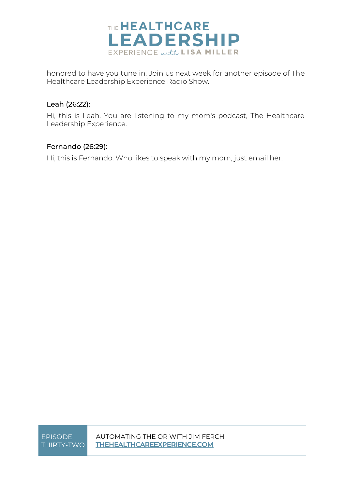

honored to have you tune in. Join us next week for another episode of The Healthcare Leadership Experience Radio Show.

#### Leah [\(26:22\)](https://www.rev.com/transcript-editor/Edit?token=6fATlUNGCGnqbiR9OuintR_iWkp2rWcbHGyzle3EhhKqIxKXxjHk9bdvq5DWJZxxgJO9vRTOgmeYTYxBD8ZT-_cZgzk&loadFrom=DocumentDeeplink&ts=1582.4):

Hi, this is Leah. You are listening to my mom's podcast, The Healthcare Leadership Experience.

#### Fernando [\(26:29\)](https://www.rev.com/transcript-editor/Edit?token=w-K7qiwGMHPkvmP1Php6blxb-DhhVehHI3pAdFO5r8xrMn6NnQVo_LCGu5R1U0jSdYEwtfzlSYl8Ci8DztgMhG1gyYI&loadFrom=DocumentDeeplink&ts=1589.51):

Hi, this is Fernando. Who likes to speak with my mom, just email her.